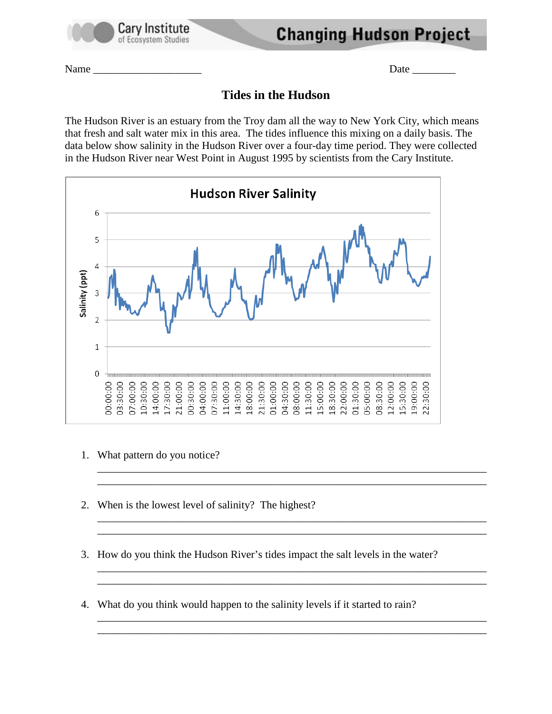

**Changing Hudson Project** 

Name \_\_\_\_\_\_\_\_\_\_\_\_\_\_\_\_\_\_\_\_ Date \_\_\_\_\_\_\_\_

## **Tides in the Hudson**

The Hudson River is an estuary from the Troy dam all the way to New York City, which means that fresh and salt water mix in this area. The tides influence this mixing on a daily basis. The data below show salinity in the Hudson River over a four-day time period. They were collected in the Hudson River near West Point in August 1995 by scientists from the Cary Institute.



- 1. What pattern do you notice?
- 2. When is the lowest level of salinity? The highest?
- 3. How do you think the Hudson River's tides impact the salt levels in the water?

\_\_\_\_\_\_\_\_\_\_\_\_\_\_\_\_\_\_\_\_\_\_\_\_\_\_\_\_\_\_\_\_\_\_\_\_\_\_\_\_\_\_\_\_\_\_\_\_\_\_\_\_\_\_\_\_\_\_\_\_\_\_\_\_\_\_\_\_\_\_\_\_ \_\_\_\_\_\_\_\_\_\_\_\_\_\_\_\_\_\_\_\_\_\_\_\_\_\_\_\_\_\_\_\_\_\_\_\_\_\_\_\_\_\_\_\_\_\_\_\_\_\_\_\_\_\_\_\_\_\_\_\_\_\_\_\_\_\_\_\_\_\_\_\_

\_\_\_\_\_\_\_\_\_\_\_\_\_\_\_\_\_\_\_\_\_\_\_\_\_\_\_\_\_\_\_\_\_\_\_\_\_\_\_\_\_\_\_\_\_\_\_\_\_\_\_\_\_\_\_\_\_\_\_\_\_\_\_\_\_\_\_\_\_\_\_\_ \_\_\_\_\_\_\_\_\_\_\_\_\_\_\_\_\_\_\_\_\_\_\_\_\_\_\_\_\_\_\_\_\_\_\_\_\_\_\_\_\_\_\_\_\_\_\_\_\_\_\_\_\_\_\_\_\_\_\_\_\_\_\_\_\_\_\_\_\_\_\_\_

\_\_\_\_\_\_\_\_\_\_\_\_\_\_\_\_\_\_\_\_\_\_\_\_\_\_\_\_\_\_\_\_\_\_\_\_\_\_\_\_\_\_\_\_\_\_\_\_\_\_\_\_\_\_\_\_\_\_\_\_\_\_\_\_\_\_\_\_\_\_\_\_ \_\_\_\_\_\_\_\_\_\_\_\_\_\_\_\_\_\_\_\_\_\_\_\_\_\_\_\_\_\_\_\_\_\_\_\_\_\_\_\_\_\_\_\_\_\_\_\_\_\_\_\_\_\_\_\_\_\_\_\_\_\_\_\_\_\_\_\_\_\_\_\_

\_\_\_\_\_\_\_\_\_\_\_\_\_\_\_\_\_\_\_\_\_\_\_\_\_\_\_\_\_\_\_\_\_\_\_\_\_\_\_\_\_\_\_\_\_\_\_\_\_\_\_\_\_\_\_\_\_\_\_\_\_\_\_\_\_\_\_\_\_\_\_\_ \_\_\_\_\_\_\_\_\_\_\_\_\_\_\_\_\_\_\_\_\_\_\_\_\_\_\_\_\_\_\_\_\_\_\_\_\_\_\_\_\_\_\_\_\_\_\_\_\_\_\_\_\_\_\_\_\_\_\_\_\_\_\_\_\_\_\_\_\_\_\_\_

4. What do you think would happen to the salinity levels if it started to rain?